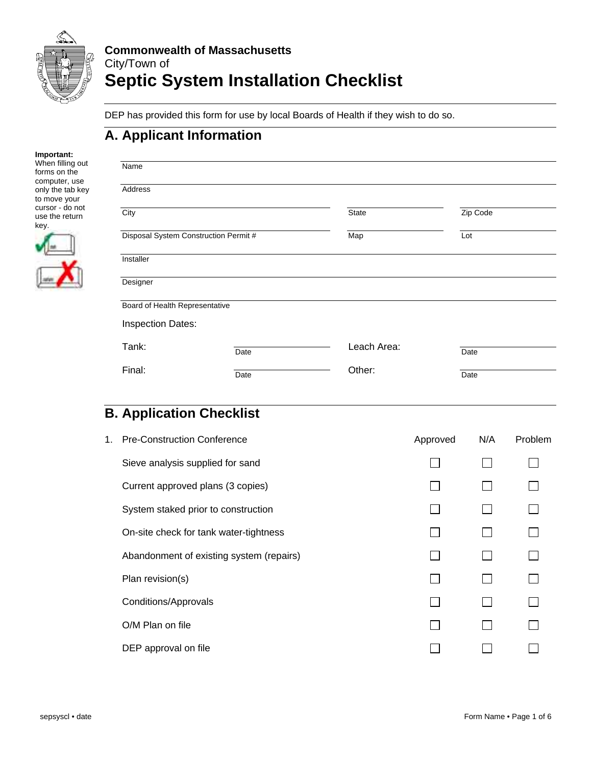

DEP has provided this form for use by local Boards of Health if they wish to do so.

### **A. Applicant Information**

| Important:       |
|------------------|
| When filling out |
| forms on the     |
| computer, use    |
| only the tab key |
| to move your     |
| cursor - do not  |
| use the return   |
| kev.             |
|                  |
|                  |
|                  |
|                  |
|                  |
|                  |
|                  |

| Name                                  |      |             |          |  |
|---------------------------------------|------|-------------|----------|--|
| Address                               |      |             |          |  |
| City                                  |      | State       | Zip Code |  |
| Disposal System Construction Permit # |      | Map         | Lot      |  |
| Installer                             |      |             |          |  |
| Designer                              |      |             |          |  |
| Board of Health Representative        |      |             |          |  |
| <b>Inspection Dates:</b>              |      |             |          |  |
| Tank:                                 | Date | Leach Area: | Date     |  |
| Final:                                | Date | Other:      | Date     |  |

# **B. Application Checklist**

| 1. | <b>Pre-Construction Conference</b>       | Approved | N/A | Problem |
|----|------------------------------------------|----------|-----|---------|
|    | Sieve analysis supplied for sand         |          |     |         |
|    | Current approved plans (3 copies)        |          |     |         |
|    | System staked prior to construction      |          |     |         |
|    | On-site check for tank water-tightness   |          |     |         |
|    | Abandonment of existing system (repairs) |          |     |         |
|    | Plan revision(s)                         |          |     |         |
|    | <b>Conditions/Approvals</b>              |          |     |         |
|    | O/M Plan on file                         |          |     |         |
|    | DEP approval on file                     |          |     |         |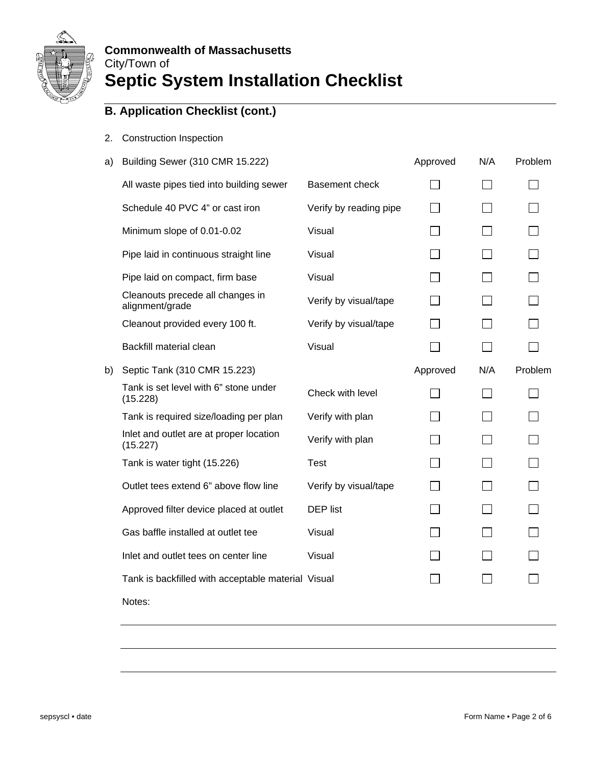

- 2. Construction Inspection
- a) Building Sewer (310 CMR 15.222) Approved N/A Problem

|    | All waste pipes tied into building sewer            | Basement check         |          |              |         |
|----|-----------------------------------------------------|------------------------|----------|--------------|---------|
|    | Schedule 40 PVC 4" or cast iron                     | Verify by reading pipe |          |              |         |
|    | Minimum slope of 0.01-0.02                          | Visual                 |          |              |         |
|    | Pipe laid in continuous straight line               | Visual                 |          |              |         |
|    | Pipe laid on compact, firm base                     | Visual                 |          | $\mathbf{L}$ |         |
|    | Cleanouts precede all changes in<br>alignment/grade | Verify by visual/tape  |          |              |         |
|    | Cleanout provided every 100 ft.                     | Verify by visual/tape  |          |              |         |
|    | Backfill material clean                             | Visual                 |          | $\Box$       |         |
| b) | Septic Tank (310 CMR 15.223)                        |                        | Approved | N/A          | Problem |
|    | Tank is set level with 6" stone under<br>(15.228)   | Check with level       |          | $\mathsf{L}$ |         |
|    | Tank is required size/loading per plan              | Verify with plan       |          |              |         |
|    | Inlet and outlet are at proper location<br>(15.227) | Verify with plan       |          |              |         |
|    | Tank is water tight (15.226)                        | <b>Test</b>            |          | ΙI           |         |
|    | Outlet tees extend 6" above flow line               | Verify by visual/tape  |          |              |         |
|    | Approved filter device placed at outlet             | <b>DEP</b> list        |          |              |         |
|    | Gas baffle installed at outlet tee                  | Visual                 |          |              |         |
|    | Inlet and outlet tees on center line                | Visual                 |          |              |         |
|    | Tank is backfilled with acceptable material Visual  |                        | $\Box$   |              |         |
|    | Notes:                                              |                        |          |              |         |
|    |                                                     |                        |          |              |         |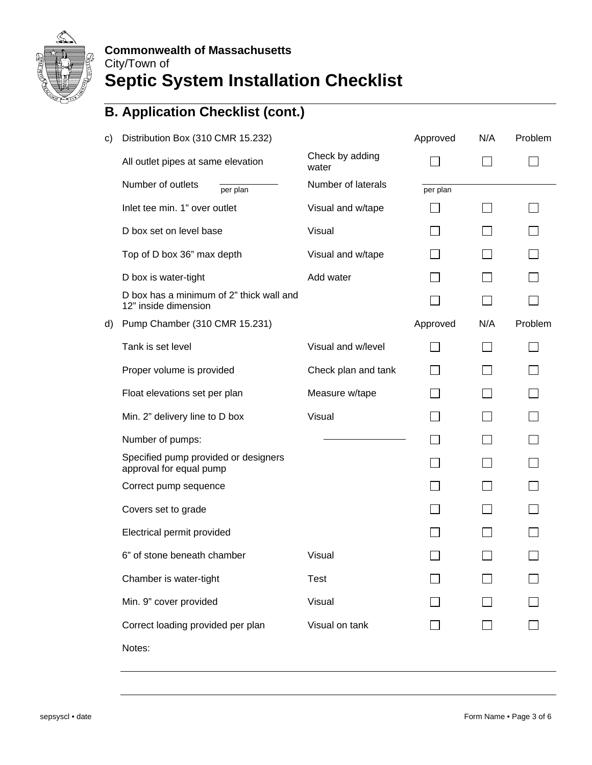

| c) | Distribution Box (310 CMR 15.232)                                |                          | Approved | N/A | Problem |
|----|------------------------------------------------------------------|--------------------------|----------|-----|---------|
|    | All outlet pipes at same elevation                               | Check by adding<br>water |          |     |         |
|    | Number of outlets<br>per plan                                    | Number of laterals       | per plan |     |         |
|    | Inlet tee min. 1" over outlet                                    | Visual and w/tape        |          |     |         |
|    | D box set on level base                                          | Visual                   |          |     |         |
|    | Top of D box 36" max depth                                       | Visual and w/tape        |          |     |         |
|    | D box is water-tight                                             | Add water                |          |     |         |
|    | D box has a minimum of 2" thick wall and<br>12" inside dimension |                          |          |     |         |
| d) | Pump Chamber (310 CMR 15.231)                                    |                          | Approved | N/A | Problem |
|    | Tank is set level                                                | Visual and w/level       |          |     |         |
|    | Proper volume is provided                                        | Check plan and tank      |          |     |         |
|    | Float elevations set per plan                                    | Measure w/tape           |          |     |         |
|    | Min. 2" delivery line to D box                                   | Visual                   |          |     |         |
|    | Number of pumps:                                                 |                          |          |     |         |
|    | Specified pump provided or designers<br>approval for equal pump  |                          |          |     |         |
|    | Correct pump sequence                                            |                          |          |     |         |
|    | Covers set to grade                                              |                          |          |     |         |
|    | Electrical permit provided                                       |                          |          |     |         |
|    | 6" of stone beneath chamber                                      | Visual                   |          |     |         |
|    | Chamber is water-tight                                           | <b>Test</b>              |          |     |         |
|    | Min. 9" cover provided                                           | Visual                   |          |     |         |
|    | Correct loading provided per plan                                | Visual on tank           |          |     |         |
|    | Notes:                                                           |                          |          |     |         |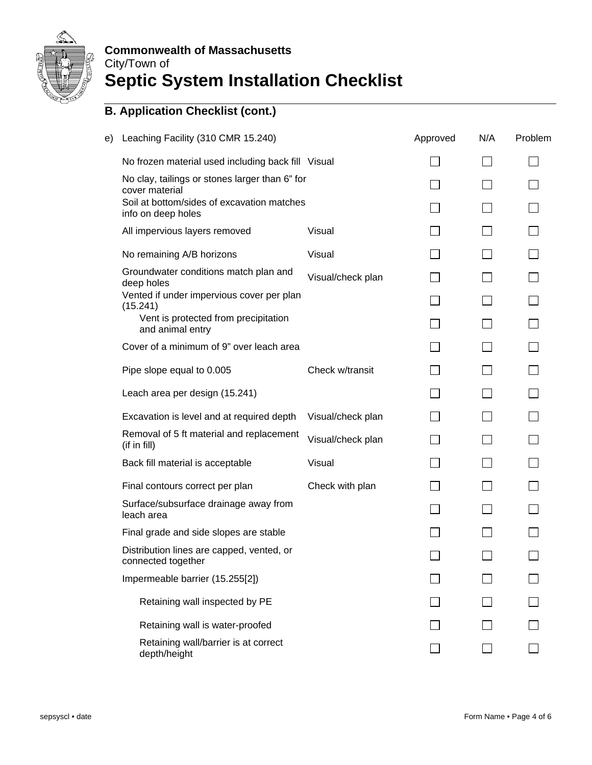

### **Commonwealth of Massachusetts**  City/Town of

# **Septic System Installation Checklist**

| e) | Leaching Facility (310 CMR 15.240)                               |                   | Approved | N/A    | Problem |
|----|------------------------------------------------------------------|-------------------|----------|--------|---------|
|    | No frozen material used including back fill Visual               |                   |          |        |         |
|    | No clay, tailings or stones larger than 6" for<br>cover material |                   |          |        |         |
|    | Soil at bottom/sides of excavation matches<br>info on deep holes |                   |          |        |         |
|    | All impervious layers removed                                    | Visual            |          |        |         |
|    | No remaining A/B horizons                                        | Visual            |          |        |         |
|    | Groundwater conditions match plan and<br>deep holes              | Visual/check plan |          |        |         |
|    | Vented if under impervious cover per plan<br>(15.241)            |                   |          |        |         |
|    | Vent is protected from precipitation<br>and animal entry         |                   |          |        |         |
|    | Cover of a minimum of 9" over leach area                         |                   |          |        |         |
|    | Pipe slope equal to 0.005                                        | Check w/transit   |          |        |         |
|    | Leach area per design (15.241)                                   |                   |          |        |         |
|    | Excavation is level and at required depth                        | Visual/check plan |          | $\Box$ |         |
|    | Removal of 5 ft material and replacement<br>(if in fill)         | Visual/check plan |          | $\Box$ |         |
|    | Back fill material is acceptable                                 | Visual            |          |        |         |
|    | Final contours correct per plan                                  | Check with plan   |          |        |         |
|    | Surface/subsurface drainage away from<br>leach area              |                   |          |        |         |
|    | Final grade and side slopes are stable                           |                   |          |        |         |
|    | Distribution lines are capped, vented, or<br>connected together  |                   |          |        |         |
|    | Impermeable barrier (15.255[2])                                  |                   |          |        |         |
|    | Retaining wall inspected by PE                                   |                   |          |        |         |
|    | Retaining wall is water-proofed                                  |                   |          |        |         |
|    | Retaining wall/barrier is at correct<br>depth/height             |                   |          |        |         |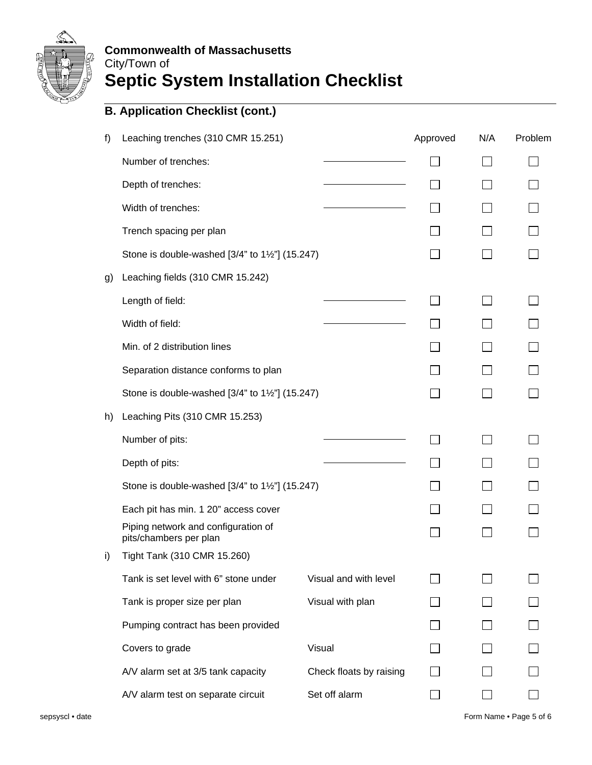

| f) | Leaching trenches (310 CMR 15.251)                            |                         | Approved | N/A | Problem |
|----|---------------------------------------------------------------|-------------------------|----------|-----|---------|
|    | Number of trenches:                                           |                         |          |     |         |
|    | Depth of trenches:                                            |                         |          |     |         |
|    | Width of trenches:                                            |                         |          |     |         |
|    | Trench spacing per plan                                       |                         |          |     |         |
|    | Stone is double-washed [3/4" to 1½"] (15.247)                 |                         |          |     |         |
| g) | Leaching fields (310 CMR 15.242)                              |                         |          |     |         |
|    | Length of field:                                              |                         |          |     |         |
|    | Width of field:                                               |                         |          |     |         |
|    | Min. of 2 distribution lines                                  |                         |          |     |         |
|    | Separation distance conforms to plan                          |                         |          |     |         |
|    | Stone is double-washed [3/4" to 1½"] (15.247)                 |                         |          |     |         |
| h) | Leaching Pits (310 CMR 15.253)                                |                         |          |     |         |
|    | Number of pits:                                               |                         |          |     |         |
|    | Depth of pits:                                                |                         |          |     |         |
|    | Stone is double-washed [3/4" to 1½"] (15.247)                 |                         |          |     |         |
|    | Each pit has min. 1 20" access cover                          |                         |          |     |         |
|    | Piping network and configuration of<br>pits/chambers per plan |                         |          |     |         |
| i) | Tight Tank (310 CMR 15.260)                                   |                         |          |     |         |
|    | Tank is set level with 6" stone under                         | Visual and with level   |          |     |         |
|    | Tank is proper size per plan                                  | Visual with plan        |          |     |         |
|    | Pumping contract has been provided                            |                         |          |     |         |
|    | Covers to grade                                               | Visual                  |          |     |         |
|    | A/V alarm set at 3/5 tank capacity                            | Check floats by raising |          |     |         |
|    | A/V alarm test on separate circuit                            | Set off alarm           |          |     |         |